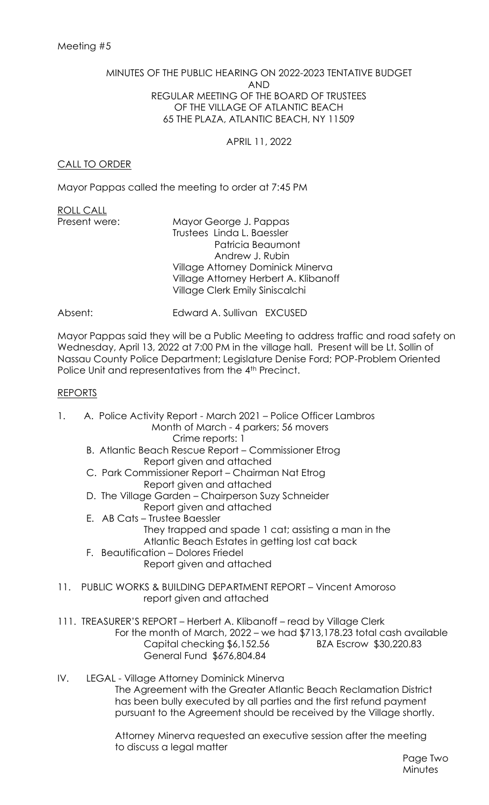## MINUTES OF THE PUBLIC HEARING ON 2022-2023 TENTATIVE BUDGET AND REGULAR MEETING OF THE BOARD OF TRUSTEES OF THE VILLAGE OF ATLANTIC BEACH 65 THE PLAZA, ATLANTIC BEACH, NY 11509

APRIL 11, 2022

# CALL TO ORDER

Mayor Pappas called the meeting to order at 7:45 PM

ROLL CALL

Present were: Mayor George J. Pappas Trustees Linda L. Baessler Patricia Beaumont Andrew J. Rubin Village Attorney Dominick Minerva Village Attorney Herbert A. Klibanoff Village Clerk Emily Siniscalchi

# Absent: Edward A. Sullivan EXCUSED

Mayor Pappas said they will be a Public Meeting to address traffic and road safety on Wednesday, April 13, 2022 at 7:00 PM in the village hall. Present will be Lt. Sollin of Nassau County Police Department; Legislature Denise Ford; POP-Problem Oriented Police Unit and representatives from the 4<sup>th</sup> Precinct.

## REPORTS

1. A. Police Activity Report - March 2021 – Police Officer Lambros Month of March - 4 parkers; 56 movers Crime reports: 1 B. Atlantic Beach Rescue Report – Commissioner Etrog Report given and attached C. Park Commissioner Report – Chairman Nat Etrog Report given and attached D. The Village Garden – Chairperson Suzy Schneider Report given and attached E. AB Cats – Trustee Baessler They trapped and spade 1 cat; assisting a man in the Atlantic Beach Estates in getting lost cat back F. Beautification – Dolores Friedel Report given and attached 11. PUBLIC WORKS & BUILDING DEPARTMENT REPORT – Vincent Amoroso report given and attached 111. TREASURER'S REPORT – Herbert A. Klibanoff – read by Village Clerk For the month of March, 2022 – we had \$713,178.23 total cash available Capital checking \$6,152.56 BZA Escrow \$30,220.83 General Fund \$676,804.84 IV. LEGAL - Village Attorney Dominick Minerva The Agreement with the Greater Atlantic Beach Reclamation District has been bully executed by all parties and the first refund payment pursuant to the Agreement should be received by the Village shortly.

> Attorney Minerva requested an executive session after the meeting to discuss a legal matter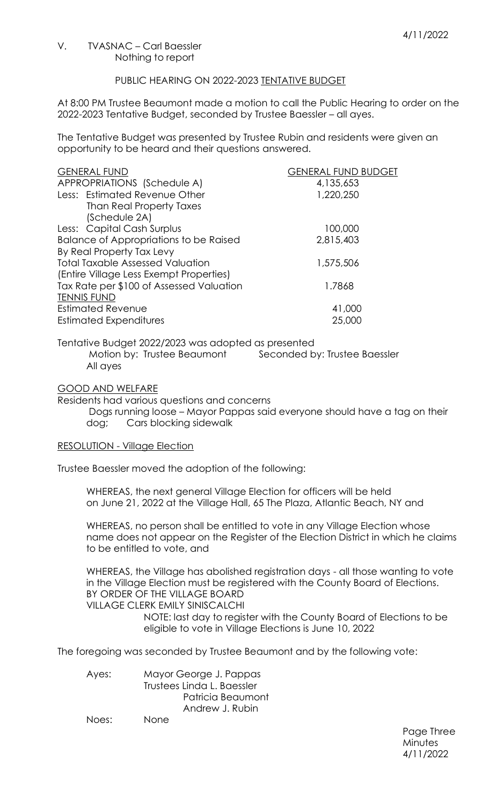#### V. TVASNAC – Carl Baessler Nothing to report

## PUBLIC HEARING ON 2022-2023 TENTATIVE BUDGET

At 8:00 PM Trustee Beaumont made a motion to call the Public Hearing to order on the 2022-2023 Tentative Budget, seconded by Trustee Baessler – all ayes.

The Tentative Budget was presented by Trustee Rubin and residents were given an opportunity to be heard and their questions answered.

| <b>GENERAL FUND</b>                           | <b>GENERAL FUND BUDGET</b> |
|-----------------------------------------------|----------------------------|
| APPROPRIATIONS (Schedule A)                   | 4,135,653                  |
| Less: Estimated Revenue Other                 | 1,220,250                  |
| Than Real Property Taxes                      |                            |
| (Schedule 2A)                                 |                            |
| Less: Capital Cash Surplus                    | 100,000                    |
| <b>Balance of Appropriations to be Raised</b> | 2,815,403                  |
| By Real Property Tax Levy                     |                            |
| <b>Total Taxable Assessed Valuation</b>       | 1,575,506                  |
| (Entire Village Less Exempt Properties)       |                            |
| Tax Rate per \$100 of Assessed Valuation      | 1.7868                     |
| <b>TENNIS FUND</b>                            |                            |
| <b>Estimated Revenue</b>                      | 41,000                     |
| <b>Estimated Expenditures</b>                 | 25,000                     |

Tentative Budget 2022/2023 was adopted as presented Motion by: Trustee Beaumont Seconded by: Trustee Baessler All ayes

#### GOOD AND WELFARE

Residents had various questions and concerns

Dogs running loose – Mayor Pappas said everyone should have a tag on their dog; Cars blocking sidewalk

## RESOLUTION - Village Election

Trustee Baessler moved the adoption of the following:

WHEREAS, the next general Village Election for officers will be held on June 21, 2022 at the Village Hall, 65 The Plaza, Atlantic Beach, NY and

WHEREAS, no person shall be entitled to vote in any Village Election whose name does not appear on the Register of the Election District in which he claims to be entitled to vote, and

WHEREAS, the Village has abolished registration days - all those wanting to vote in the Village Election must be registered with the County Board of Elections. BY ORDER OF THE VILLAGE BOARD

# VILLAGE CLERK EMILY SINISCALCHI

NOTE: last day to register with the County Board of Elections to be eligible to vote in Village Elections is June 10, 2022

The foregoing was seconded by Trustee Beaumont and by the following vote:

| Ayes: | Mayor George J. Pappas     |  |
|-------|----------------------------|--|
|       | Trustees Linda L. Baessler |  |
|       | Patricia Beaumont          |  |
|       | Andrew J. Rubin            |  |
| Noes: | <b>None</b>                |  |

Page Three **Minutes** 4/11/2022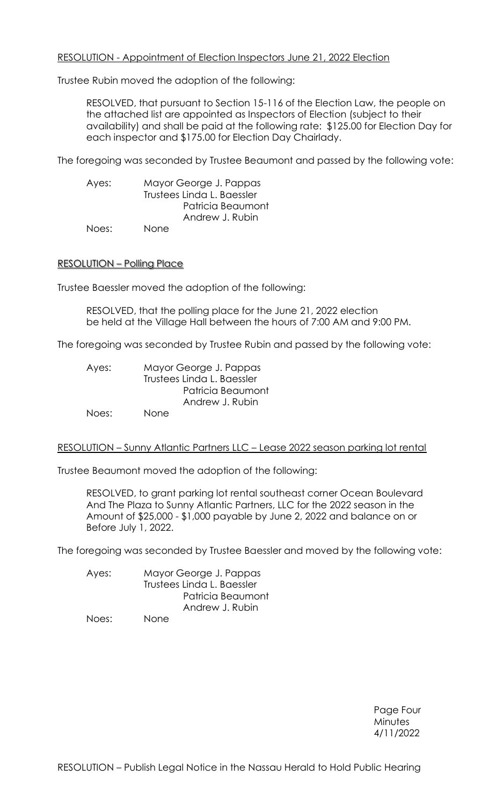## RESOLUTION - Appointment of Election Inspectors June 21, 2022 Election

Trustee Rubin moved the adoption of the following:

RESOLVED, that pursuant to Section 15-116 of the Election Law, the people on the attached list are appointed as Inspectors of Election (subject to their availability) and shall be paid at the following rate: \$125.00 for Election Day for each inspector and \$175.00 for Election Day Chairlady.

The foregoing was seconded by Trustee Beaumont and passed by the following vote:

Ayes: Mayor George J. Pappas Trustees Linda L. Baessler Patricia Beaumont Andrew J. Rubin Noes: None

### RESOLUTION – Polling Place

Trustee Baessler moved the adoption of the following:

RESOLVED, that the polling place for the June 21, 2022 election be held at the Village Hall between the hours of 7:00 AM and 9:00 PM.

The foregoing was seconded by Trustee Rubin and passed by the following vote:

| Ayes: | Mayor George J. Pappas     |
|-------|----------------------------|
|       | Trustees Linda L. Baessler |
|       | Patricia Beaumont          |
|       | Andrew J. Rubin            |
| Noes: | <b>None</b>                |

#### RESOLUTION – Sunny Atlantic Partners LLC – Lease 2022 season parking lot rental

Trustee Beaumont moved the adoption of the following:

RESOLVED, to grant parking lot rental southeast corner Ocean Boulevard And The Plaza to Sunny Atlantic Partners, LLC for the 2022 season in the Amount of \$25,000 - \$1,000 payable by June 2, 2022 and balance on or Before July 1, 2022.

The foregoing was seconded by Trustee Baessler and moved by the following vote:

| Ayes:              | Mayor George J. Pappas     |  |
|--------------------|----------------------------|--|
|                    | Trustees Linda L. Baessler |  |
|                    | Patricia Beaumont          |  |
|                    | Andrew J. Rubin            |  |
| $h \sim \sim \sim$ | $\mathbf{N}$ $\sim$ $\sim$ |  |

Noes: None

Page Four **Minutes** 4/11/2022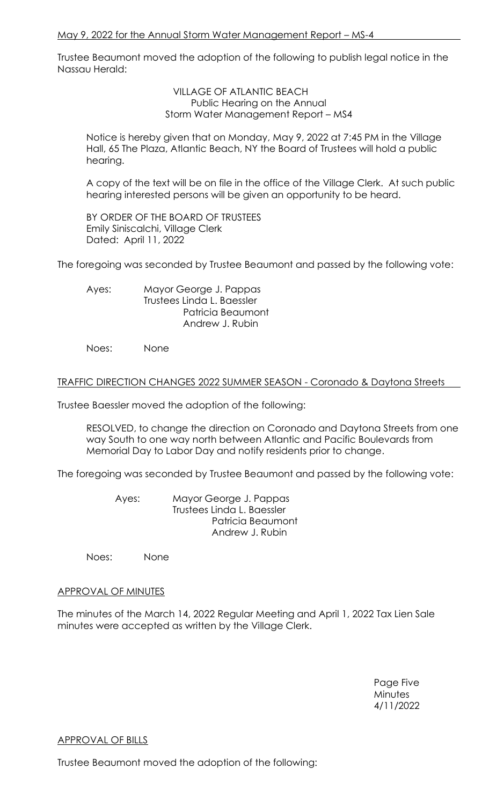Trustee Beaumont moved the adoption of the following to publish legal notice in the Nassau Herald:

> VILLAGE OF ATLANTIC BEACH Public Hearing on the Annual Storm Water Management Report – MS4

Notice is hereby given that on Monday, May 9, 2022 at 7:45 PM in the Village Hall, 65 The Plaza, Atlantic Beach, NY the Board of Trustees will hold a public hearing.

A copy of the text will be on file in the office of the Village Clerk. At such public hearing interested persons will be given an opportunity to be heard.

BY ORDER OF THE BOARD OF TRUSTEES Emily Siniscalchi, Village Clerk Dated: April 11, 2022

The foregoing was seconded by Trustee Beaumont and passed by the following vote:

Ayes: Mayor George J. Pappas Trustees Linda L. Baessler Patricia Beaumont Andrew J. Rubin

Noes: None

## TRAFFIC DIRECTION CHANGES 2022 SUMMER SEASON - Coronado & Daytona Streets

Trustee Baessler moved the adoption of the following:

RESOLVED, to change the direction on Coronado and Daytona Streets from one way South to one way north between Atlantic and Pacific Boulevards from Memorial Day to Labor Day and notify residents prior to change.

The foregoing was seconded by Trustee Beaumont and passed by the following vote:

Ayes: Mayor George J. Pappas Trustees Linda L. Baessler Patricia Beaumont Andrew J. Rubin

Noes: None

## APPROVAL OF MINUTES

The minutes of the March 14, 2022 Regular Meeting and April 1, 2022 Tax Lien Sale minutes were accepted as written by the Village Clerk.

> Page Five **Minutes** 4/11/2022

## APPROVAL OF BILLS

Trustee Beaumont moved the adoption of the following: